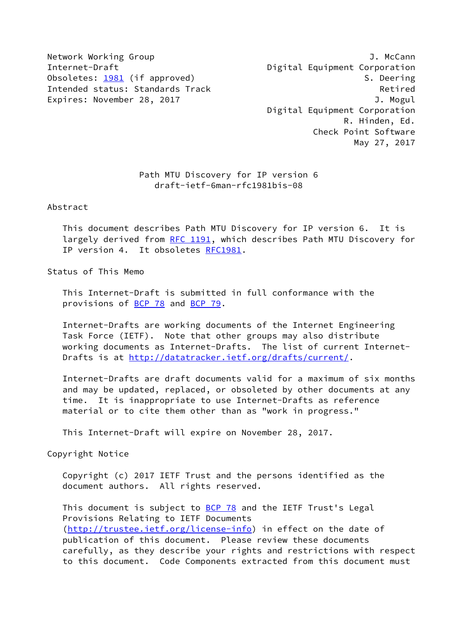Network Working Group J. McCann Internet-Draft **Digital Equipment Corporation** Obsoletes: [1981](https://datatracker.ietf.org/doc/pdf/rfc1981) (if approved) 3. Deering Intended status: Standards Track Retired Expires: November 28, 2017 J. Mogul

 Digital Equipment Corporation R. Hinden, Ed. Check Point Software May 27, 2017

# Path MTU Discovery for IP version 6 draft-ietf-6man-rfc1981bis-08

Abstract

 This document describes Path MTU Discovery for IP version 6. It is largely derived from [RFC 1191](https://datatracker.ietf.org/doc/pdf/rfc1191), which describes Path MTU Discovery for IP version 4. It obsoletes [RFC1981.](https://datatracker.ietf.org/doc/pdf/rfc1981)

Status of This Memo

 This Internet-Draft is submitted in full conformance with the provisions of **BCP 78** and **BCP 79**.

 Internet-Drafts are working documents of the Internet Engineering Task Force (IETF). Note that other groups may also distribute working documents as Internet-Drafts. The list of current Internet Drafts is at<http://datatracker.ietf.org/drafts/current/>.

 Internet-Drafts are draft documents valid for a maximum of six months and may be updated, replaced, or obsoleted by other documents at any time. It is inappropriate to use Internet-Drafts as reference material or to cite them other than as "work in progress."

This Internet-Draft will expire on November 28, 2017.

Copyright Notice

 Copyright (c) 2017 IETF Trust and the persons identified as the document authors. All rights reserved.

This document is subject to **[BCP 78](https://datatracker.ietf.org/doc/pdf/bcp78)** and the IETF Trust's Legal Provisions Relating to IETF Documents [\(http://trustee.ietf.org/license-info](http://trustee.ietf.org/license-info)) in effect on the date of publication of this document. Please review these documents carefully, as they describe your rights and restrictions with respect to this document. Code Components extracted from this document must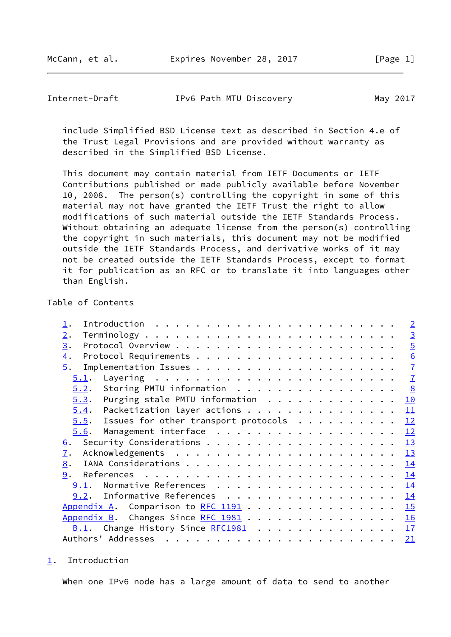McCann, et al. **Expires November 28, 2017** [Page 1]

<span id="page-1-1"></span>

| Internet-Draft | IPv6 Path MTU Discovery | May 2017 |
|----------------|-------------------------|----------|
|----------------|-------------------------|----------|

 include Simplified BSD License text as described in Section 4.e of the Trust Legal Provisions and are provided without warranty as described in the Simplified BSD License.

 This document may contain material from IETF Documents or IETF Contributions published or made publicly available before November 10, 2008. The person(s) controlling the copyright in some of this material may not have granted the IETF Trust the right to allow modifications of such material outside the IETF Standards Process. Without obtaining an adequate license from the person(s) controlling the copyright in such materials, this document may not be modified outside the IETF Standards Process, and derivative works of it may not be created outside the IETF Standards Process, except to format it for publication as an RFC or to translate it into languages other than English.

# Table of Contents

|                                              | $\overline{2}$ |
|----------------------------------------------|----------------|
| 2.                                           | $\overline{3}$ |
| 3.                                           | $\overline{5}$ |
| $\overline{4}$ .                             | 6              |
| 5.                                           | $\overline{1}$ |
| 5.1.                                         | $\overline{1}$ |
| Storing PMTU information<br>5.2.             | $\frac{8}{2}$  |
| Purging stale PMTU information<br>5.3.       | <u> 10</u>     |
| Packetization layer actions<br>5.4.          | 11             |
| $5.5$ . Issues for other transport protocols | 12             |
| Management interface<br>5.6.                 | 12             |
| $\underline{6}$ .                            | 13             |
| $\overline{1}$ .                             | <u>13</u>      |
| 8.                                           | 14             |
| 9.                                           | 14             |
| Normative References<br>9.1.                 | 14             |
| $9.2.$ Informative References                | 14             |
| Appendix A. Comparison to $RFC$ 1191         | 15             |
| Appendix B. Changes Since RFC 1981           | 16             |
| B.1. Change History Since RFC1981            | 17             |
|                                              | 21             |
|                                              |                |

<span id="page-1-0"></span>[1](#page-1-0). Introduction

When one IPv6 node has a large amount of data to send to another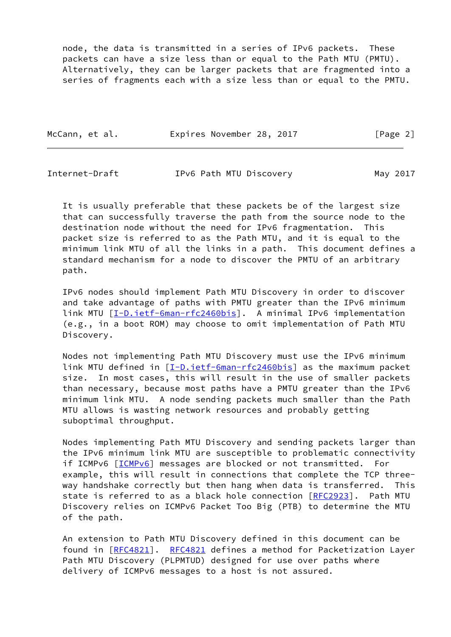node, the data is transmitted in a series of IPv6 packets. These packets can have a size less than or equal to the Path MTU (PMTU). Alternatively, they can be larger packets that are fragmented into a series of fragments each with a size less than or equal to the PMTU.

| McCann, et al. | Expires November 28, 2017 | [Page 2] |
|----------------|---------------------------|----------|
|                |                           |          |

<span id="page-2-0"></span>

| May 2017 |
|----------|
|          |

 It is usually preferable that these packets be of the largest size that can successfully traverse the path from the source node to the destination node without the need for IPv6 fragmentation. This packet size is referred to as the Path MTU, and it is equal to the minimum link MTU of all the links in a path. This document defines a standard mechanism for a node to discover the PMTU of an arbitrary path.

 IPv6 nodes should implement Path MTU Discovery in order to discover and take advantage of paths with PMTU greater than the IPv6 minimum link MTU [\[I-D.ietf-6man-rfc2460bis](#page-15-3)]. A minimal IPv6 implementation (e.g., in a boot ROM) may choose to omit implementation of Path MTU Discovery.

 Nodes not implementing Path MTU Discovery must use the IPv6 minimum link MTU defined in [\[I-D.ietf-6man-rfc2460bis](#page-15-3)] as the maximum packet size. In most cases, this will result in the use of smaller packets than necessary, because most paths have a PMTU greater than the IPv6 minimum link MTU. A node sending packets much smaller than the Path MTU allows is wasting network resources and probably getting suboptimal throughput.

 Nodes implementing Path MTU Discovery and sending packets larger than the IPv6 minimum link MTU are susceptible to problematic connectivity if ICMPv6 [[ICMPv6](#page-15-4)] messages are blocked or not transmitted. For example, this will result in connections that complete the TCP three way handshake correctly but then hang when data is transferred. This state is referred to as a black hole connection [\[RFC2923](https://datatracker.ietf.org/doc/pdf/rfc2923)]. Path MTU Discovery relies on ICMPv6 Packet Too Big (PTB) to determine the MTU of the path.

 An extension to Path MTU Discovery defined in this document can be found in [\[RFC4821](https://datatracker.ietf.org/doc/pdf/rfc4821)]. [RFC4821](https://datatracker.ietf.org/doc/pdf/rfc4821) defines a method for Packetization Layer Path MTU Discovery (PLPMTUD) designed for use over paths where delivery of ICMPv6 messages to a host is not assured.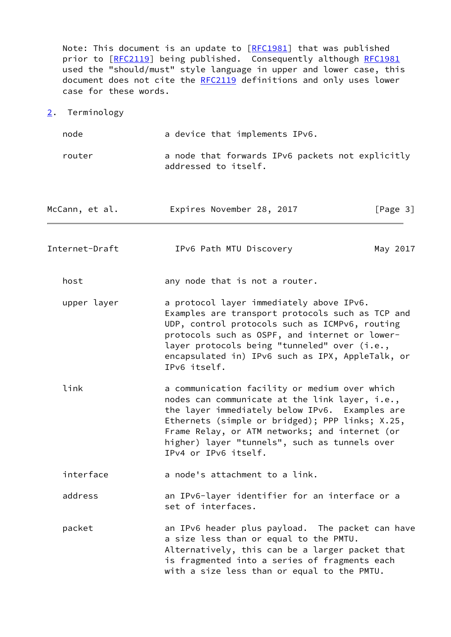Note: This document is an update to [\[RFC1981](https://datatracker.ietf.org/doc/pdf/rfc1981)] that was published prior to [\[RFC2119](https://datatracker.ietf.org/doc/pdf/rfc2119)] being published. Consequently although [RFC1981](https://datatracker.ietf.org/doc/pdf/rfc1981) used the "should/must" style language in upper and lower case, this document does not cite the [RFC2119](https://datatracker.ietf.org/doc/pdf/rfc2119) definitions and only uses lower case for these words.

<span id="page-3-0"></span>[2](#page-3-0). Terminology

node a device that implements IPv6. router a node that forwards IPv6 packets not explicitly addressed to itself. McCann, et al. **Expires November 28, 2017** [Page 3] Internet-Draft IPv6 Path MTU Discovery May 2017 host any node that is not a router. upper layer a protocol layer immediately above IPv6. Examples are transport protocols such as TCP and UDP, control protocols such as ICMPv6, routing protocols such as OSPF, and internet or lower layer protocols being "tunneled" over (i.e., encapsulated in) IPv6 such as IPX, AppleTalk, or IPv6 itself. link a communication facility or medium over which nodes can communicate at the link layer, i.e., the layer immediately below IPv6. Examples are Ethernets (simple or bridged); PPP links; X.25, Frame Relay, or ATM networks; and internet (or higher) layer "tunnels", such as tunnels over IPv4 or IPv6 itself. interface a node's attachment to a link. address an IPv6-layer identifier for an interface or a set of interfaces. packet an IPv6 header plus payload. The packet can have a size less than or equal to the PMTU. Alternatively, this can be a larger packet that is fragmented into a series of fragments each with a size less than or equal to the PMTU.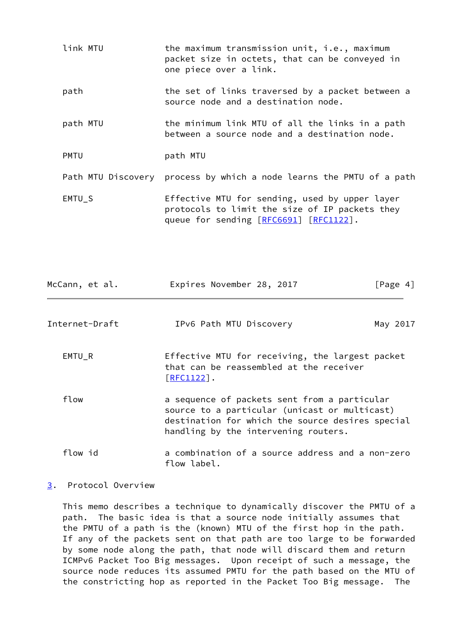| link MTU    | the maximum transmission unit, i.e., maximum<br>packet size in octets, that can be conveyed in<br>one piece over a link.                   |
|-------------|--------------------------------------------------------------------------------------------------------------------------------------------|
| path        | the set of links traversed by a packet between a<br>source node and a destination node.                                                    |
| path MTU    | the minimum link MTU of all the links in a path<br>between a source node and a destination node.                                           |
| <b>PMTU</b> | path MTU                                                                                                                                   |
|             | Path MTU Discovery process by which a node learns the PMTU of a path                                                                       |
| EMTU_S      | Effective MTU for sending, used by upper layer<br>protocols to limit the size of IP packets they<br>queue for sending [RFC6691] [RFC1122]. |

<span id="page-4-1"></span>

| McCann, et al. | Expires November 28, 2017                                                                                                                                                                 | $\lceil \text{Page } 4 \rceil$ |
|----------------|-------------------------------------------------------------------------------------------------------------------------------------------------------------------------------------------|--------------------------------|
| Internet-Draft | IPv6 Path MTU Discovery                                                                                                                                                                   | May 2017                       |
| EMTU_R         | Effective MTU for receiving, the largest packet<br>that can be reassembled at the receiver<br>$\lceil \text{RFC1122} \rceil$ .                                                            |                                |
| flow           | a sequence of packets sent from a particular<br>source to a particular (unicast or multicast)<br>destination for which the source desires special<br>handling by the intervening routers. |                                |
| flow id        | a combination of a source address and a non-zero<br>flow label.                                                                                                                           |                                |

# <span id="page-4-0"></span>[3](#page-4-0). Protocol Overview

 This memo describes a technique to dynamically discover the PMTU of a path. The basic idea is that a source node initially assumes that the PMTU of a path is the (known) MTU of the first hop in the path. If any of the packets sent on that path are too large to be forwarded by some node along the path, that node will discard them and return ICMPv6 Packet Too Big messages. Upon receipt of such a message, the source node reduces its assumed PMTU for the path based on the MTU of the constricting hop as reported in the Packet Too Big message. The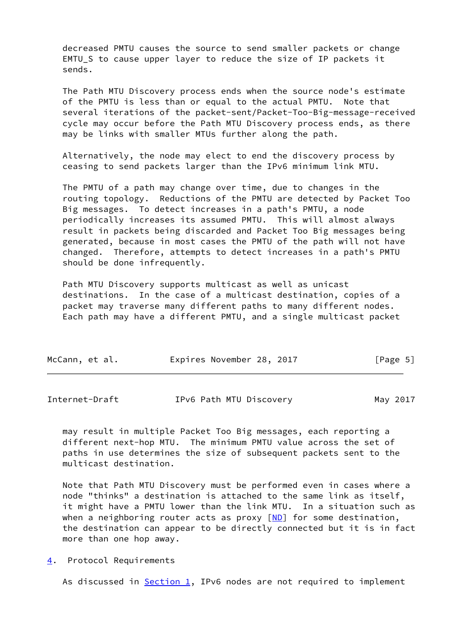decreased PMTU causes the source to send smaller packets or change EMTU\_S to cause upper layer to reduce the size of IP packets it sends.

 The Path MTU Discovery process ends when the source node's estimate of the PMTU is less than or equal to the actual PMTU. Note that several iterations of the packet-sent/Packet-Too-Big-message-received cycle may occur before the Path MTU Discovery process ends, as there may be links with smaller MTUs further along the path.

 Alternatively, the node may elect to end the discovery process by ceasing to send packets larger than the IPv6 minimum link MTU.

 The PMTU of a path may change over time, due to changes in the routing topology. Reductions of the PMTU are detected by Packet Too Big messages. To detect increases in a path's PMTU, a node periodically increases its assumed PMTU. This will almost always result in packets being discarded and Packet Too Big messages being generated, because in most cases the PMTU of the path will not have changed. Therefore, attempts to detect increases in a path's PMTU should be done infrequently.

 Path MTU Discovery supports multicast as well as unicast destinations. In the case of a multicast destination, copies of a packet may traverse many different paths to many different nodes. Each path may have a different PMTU, and a single multicast packet

| McCann, et al. | Expires November 28, 2017 | [Page 5] |
|----------------|---------------------------|----------|
|----------------|---------------------------|----------|

<span id="page-5-1"></span>

| Internet-Draft | IPv6 Path MTU Discovery | May 2017 |
|----------------|-------------------------|----------|
|----------------|-------------------------|----------|

 may result in multiple Packet Too Big messages, each reporting a different next-hop MTU. The minimum PMTU value across the set of paths in use determines the size of subsequent packets sent to the multicast destination.

 Note that Path MTU Discovery must be performed even in cases where a node "thinks" a destination is attached to the same link as itself, it might have a PMTU lower than the link MTU. In a situation such as when a neighboring router acts as proxy  $[MD]$  for some destination, the destination can appear to be directly connected but it is in fact more than one hop away.

<span id="page-5-0"></span>[4](#page-5-0). Protocol Requirements

As discussed in  $Section 1$ , IPv6 nodes are not required to implement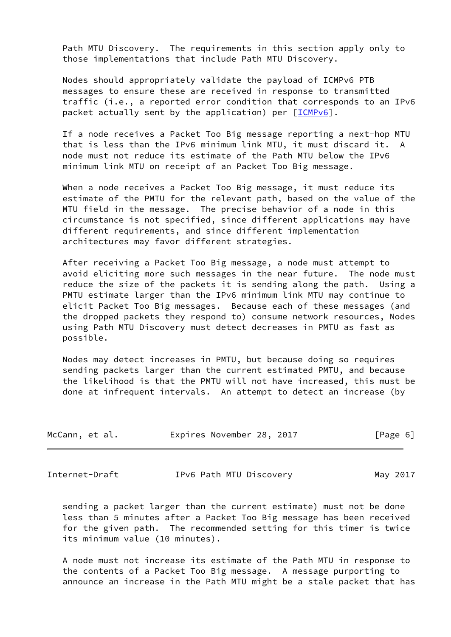Path MTU Discovery. The requirements in this section apply only to those implementations that include Path MTU Discovery.

 Nodes should appropriately validate the payload of ICMPv6 PTB messages to ensure these are received in response to transmitted traffic (i.e., a reported error condition that corresponds to an IPv6 packet actually sent by the application) per [\[ICMPv6](#page-15-4)].

 If a node receives a Packet Too Big message reporting a next-hop MTU that is less than the IPv6 minimum link MTU, it must discard it. A node must not reduce its estimate of the Path MTU below the IPv6 minimum link MTU on receipt of an Packet Too Big message.

 When a node receives a Packet Too Big message, it must reduce its estimate of the PMTU for the relevant path, based on the value of the MTU field in the message. The precise behavior of a node in this circumstance is not specified, since different applications may have different requirements, and since different implementation architectures may favor different strategies.

 After receiving a Packet Too Big message, a node must attempt to avoid eliciting more such messages in the near future. The node must reduce the size of the packets it is sending along the path. Using a PMTU estimate larger than the IPv6 minimum link MTU may continue to elicit Packet Too Big messages. Because each of these messages (and the dropped packets they respond to) consume network resources, Nodes using Path MTU Discovery must detect decreases in PMTU as fast as possible.

 Nodes may detect increases in PMTU, but because doing so requires sending packets larger than the current estimated PMTU, and because the likelihood is that the PMTU will not have increased, this must be done at infrequent intervals. An attempt to detect an increase (by

| McCann, et al. | Expires November 28, 2017 |  | [Page 6] |  |
|----------------|---------------------------|--|----------|--|
|                |                           |  |          |  |

<span id="page-6-0"></span>Internet-Draft IPv6 Path MTU Discovery May 2017

 sending a packet larger than the current estimate) must not be done less than 5 minutes after a Packet Too Big message has been received for the given path. The recommended setting for this timer is twice its minimum value (10 minutes).

 A node must not increase its estimate of the Path MTU in response to the contents of a Packet Too Big message. A message purporting to announce an increase in the Path MTU might be a stale packet that has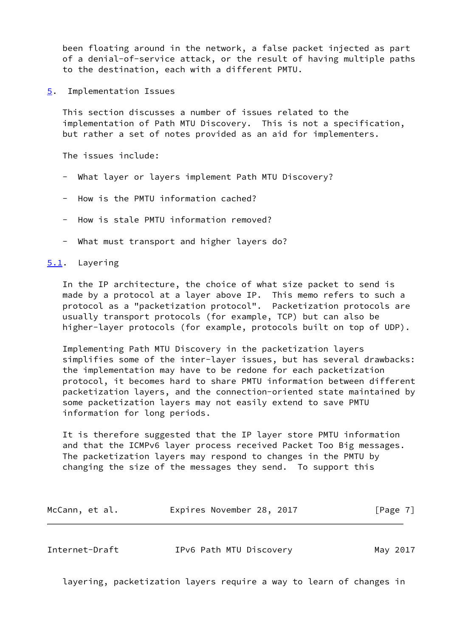been floating around in the network, a false packet injected as part of a denial-of-service attack, or the result of having multiple paths to the destination, each with a different PMTU.

<span id="page-7-0"></span>[5](#page-7-0). Implementation Issues

 This section discusses a number of issues related to the implementation of Path MTU Discovery. This is not a specification, but rather a set of notes provided as an aid for implementers.

The issues include:

- What layer or layers implement Path MTU Discovery?
- How is the PMTU information cached?
- How is stale PMTU information removed?
- What must transport and higher layers do?

## <span id="page-7-1"></span>[5.1](#page-7-1). Layering

 In the IP architecture, the choice of what size packet to send is made by a protocol at a layer above IP. This memo refers to such a protocol as a "packetization protocol". Packetization protocols are usually transport protocols (for example, TCP) but can also be higher-layer protocols (for example, protocols built on top of UDP).

 Implementing Path MTU Discovery in the packetization layers simplifies some of the inter-layer issues, but has several drawbacks: the implementation may have to be redone for each packetization protocol, it becomes hard to share PMTU information between different packetization layers, and the connection-oriented state maintained by some packetization layers may not easily extend to save PMTU information for long periods.

 It is therefore suggested that the IP layer store PMTU information and that the ICMPv6 layer process received Packet Too Big messages. The packetization layers may respond to changes in the PMTU by changing the size of the messages they send. To support this

| McCann, et al. | Expires November 28, 2017 |  | [Page 7] |
|----------------|---------------------------|--|----------|
|----------------|---------------------------|--|----------|

<span id="page-7-2"></span>

| Internet-Draft | IPv6 Path MTU Discovery | May 2017 |
|----------------|-------------------------|----------|
|----------------|-------------------------|----------|

layering, packetization layers require a way to learn of changes in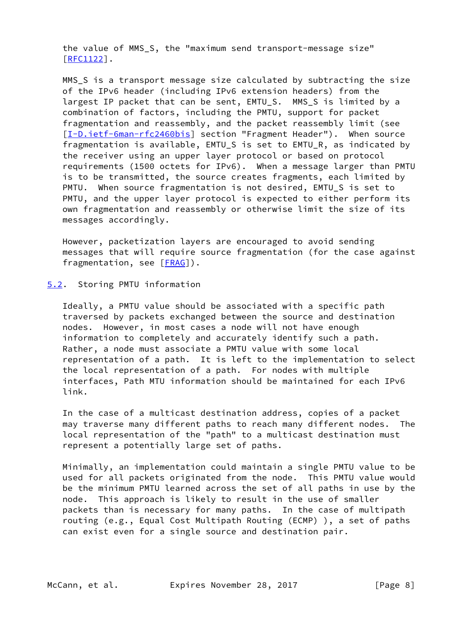the value of MMS\_S, the "maximum send transport-message size" [\[RFC1122](https://datatracker.ietf.org/doc/pdf/rfc1122)].

 MMS\_S is a transport message size calculated by subtracting the size of the IPv6 header (including IPv6 extension headers) from the largest IP packet that can be sent, EMTU S. MMS S is limited by a combination of factors, including the PMTU, support for packet fragmentation and reassembly, and the packet reassembly limit (see [\[I-D.ietf-6man-rfc2460bis](#page-15-3)] section "Fragment Header"). When source fragmentation is available, EMTU\_S is set to EMTU\_R, as indicated by the receiver using an upper layer protocol or based on protocol requirements (1500 octets for IPv6). When a message larger than PMTU is to be transmitted, the source creates fragments, each limited by PMTU. When source fragmentation is not desired, EMTU\_S is set to PMTU, and the upper layer protocol is expected to either perform its own fragmentation and reassembly or otherwise limit the size of its messages accordingly.

 However, packetization layers are encouraged to avoid sending messages that will require source fragmentation (for the case against fragmentation, see [[FRAG\]](#page-15-6)).

### <span id="page-8-0"></span>[5.2](#page-8-0). Storing PMTU information

 Ideally, a PMTU value should be associated with a specific path traversed by packets exchanged between the source and destination nodes. However, in most cases a node will not have enough information to completely and accurately identify such a path. Rather, a node must associate a PMTU value with some local representation of a path. It is left to the implementation to select the local representation of a path. For nodes with multiple interfaces, Path MTU information should be maintained for each IPv6 link.

 In the case of a multicast destination address, copies of a packet may traverse many different paths to reach many different nodes. The local representation of the "path" to a multicast destination must represent a potentially large set of paths.

 Minimally, an implementation could maintain a single PMTU value to be used for all packets originated from the node. This PMTU value would be the minimum PMTU learned across the set of all paths in use by the node. This approach is likely to result in the use of smaller packets than is necessary for many paths. In the case of multipath routing (e.g., Equal Cost Multipath Routing (ECMP) ), a set of paths can exist even for a single source and destination pair.

McCann, et al. **Expires November 28, 2017** [Page 8]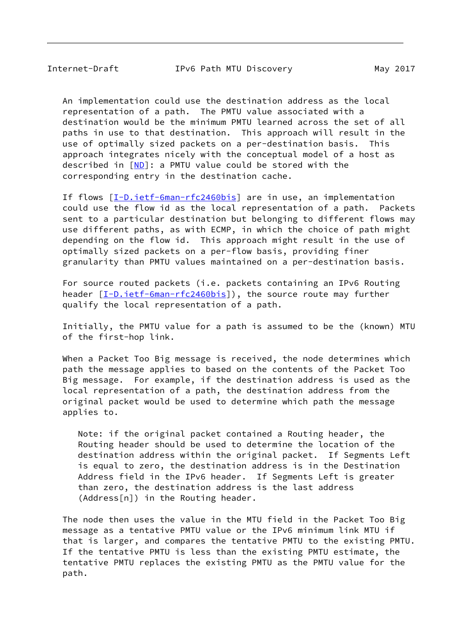An implementation could use the destination address as the local representation of a path. The PMTU value associated with a destination would be the minimum PMTU learned across the set of all paths in use to that destination. This approach will result in the use of optimally sized packets on a per-destination basis. This approach integrates nicely with the conceptual model of a host as described in [\[ND\]](#page-15-5): a PMTU value could be stored with the corresponding entry in the destination cache.

If flows [\[I-D.ietf-6man-rfc2460bis](#page-15-3)] are in use, an implementation could use the flow id as the local representation of a path. Packets sent to a particular destination but belonging to different flows may use different paths, as with ECMP, in which the choice of path might depending on the flow id. This approach might result in the use of optimally sized packets on a per-flow basis, providing finer granularity than PMTU values maintained on a per-destination basis.

 For source routed packets (i.e. packets containing an IPv6 Routing header  $[I-D.iett-Gman-rfc2460bis]$ , the source route may further qualify the local representation of a path.

 Initially, the PMTU value for a path is assumed to be the (known) MTU of the first-hop link.

 When a Packet Too Big message is received, the node determines which path the message applies to based on the contents of the Packet Too Big message. For example, if the destination address is used as the local representation of a path, the destination address from the original packet would be used to determine which path the message applies to.

 Note: if the original packet contained a Routing header, the Routing header should be used to determine the location of the destination address within the original packet. If Segments Left is equal to zero, the destination address is in the Destination Address field in the IPv6 header. If Segments Left is greater than zero, the destination address is the last address (Address[n]) in the Routing header.

 The node then uses the value in the MTU field in the Packet Too Big message as a tentative PMTU value or the IPv6 minimum link MTU if that is larger, and compares the tentative PMTU to the existing PMTU. If the tentative PMTU is less than the existing PMTU estimate, the tentative PMTU replaces the existing PMTU as the PMTU value for the path.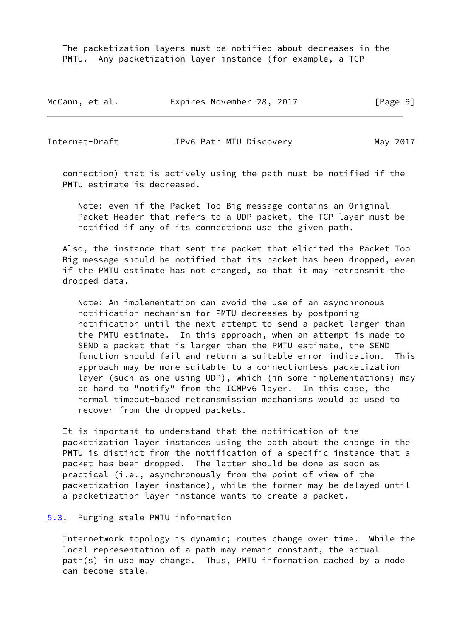The packetization layers must be notified about decreases in the PMTU. Any packetization layer instance (for example, a TCP

| McCann, et al. | Expires November 28, 2017 | [Page 9] |
|----------------|---------------------------|----------|
|----------------|---------------------------|----------|

<span id="page-10-1"></span>Internet-Draft IPv6 Path MTU Discovery May 2017

 connection) that is actively using the path must be notified if the PMTU estimate is decreased.

 Note: even if the Packet Too Big message contains an Original Packet Header that refers to a UDP packet, the TCP layer must be notified if any of its connections use the given path.

 Also, the instance that sent the packet that elicited the Packet Too Big message should be notified that its packet has been dropped, even if the PMTU estimate has not changed, so that it may retransmit the dropped data.

 Note: An implementation can avoid the use of an asynchronous notification mechanism for PMTU decreases by postponing notification until the next attempt to send a packet larger than the PMTU estimate. In this approach, when an attempt is made to SEND a packet that is larger than the PMTU estimate, the SEND function should fail and return a suitable error indication. This approach may be more suitable to a connectionless packetization layer (such as one using UDP), which (in some implementations) may be hard to "notify" from the ICMPv6 layer. In this case, the normal timeout-based retransmission mechanisms would be used to recover from the dropped packets.

 It is important to understand that the notification of the packetization layer instances using the path about the change in the PMTU is distinct from the notification of a specific instance that a packet has been dropped. The latter should be done as soon as practical (i.e., asynchronously from the point of view of the packetization layer instance), while the former may be delayed until a packetization layer instance wants to create a packet.

#### <span id="page-10-0"></span>[5.3](#page-10-0). Purging stale PMTU information

 Internetwork topology is dynamic; routes change over time. While the local representation of a path may remain constant, the actual path(s) in use may change. Thus, PMTU information cached by a node can become stale.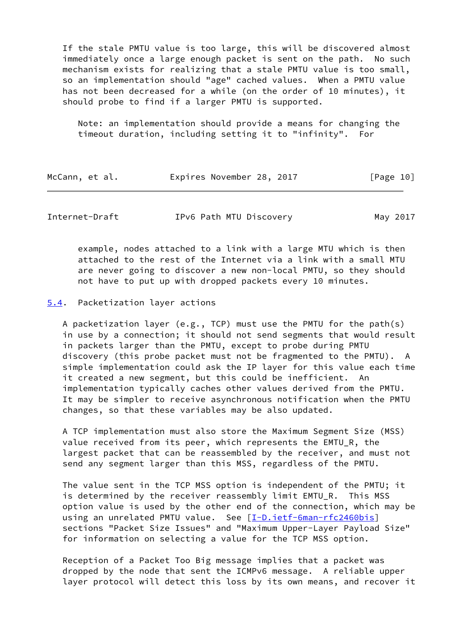If the stale PMTU value is too large, this will be discovered almost immediately once a large enough packet is sent on the path. No such mechanism exists for realizing that a stale PMTU value is too small, so an implementation should "age" cached values. When a PMTU value has not been decreased for a while (on the order of 10 minutes), it should probe to find if a larger PMTU is supported.

 Note: an implementation should provide a means for changing the timeout duration, including setting it to "infinity". For

| McCann, et al. | Expires November 28, 2017 |  | [Page 10] |
|----------------|---------------------------|--|-----------|
|----------------|---------------------------|--|-----------|

<span id="page-11-1"></span>Internet-Draft IPv6 Path MTU Discovery May 2017

 example, nodes attached to a link with a large MTU which is then attached to the rest of the Internet via a link with a small MTU are never going to discover a new non-local PMTU, so they should not have to put up with dropped packets every 10 minutes.

<span id="page-11-0"></span>[5.4](#page-11-0). Packetization layer actions

A packetization layer (e.g., TCP) must use the PMTU for the path(s) in use by a connection; it should not send segments that would result in packets larger than the PMTU, except to probe during PMTU discovery (this probe packet must not be fragmented to the PMTU). A simple implementation could ask the IP layer for this value each time it created a new segment, but this could be inefficient. An implementation typically caches other values derived from the PMTU. It may be simpler to receive asynchronous notification when the PMTU changes, so that these variables may be also updated.

 A TCP implementation must also store the Maximum Segment Size (MSS) value received from its peer, which represents the EMTU\_R, the largest packet that can be reassembled by the receiver, and must not send any segment larger than this MSS, regardless of the PMTU.

 The value sent in the TCP MSS option is independent of the PMTU; it is determined by the receiver reassembly limit EMTU\_R. This MSS option value is used by the other end of the connection, which may be using an unrelated PMTU value. See [\[I-D.ietf-6man-rfc2460bis](#page-15-3)] sections "Packet Size Issues" and "Maximum Upper-Layer Payload Size" for information on selecting a value for the TCP MSS option.

 Reception of a Packet Too Big message implies that a packet was dropped by the node that sent the ICMPv6 message. A reliable upper layer protocol will detect this loss by its own means, and recover it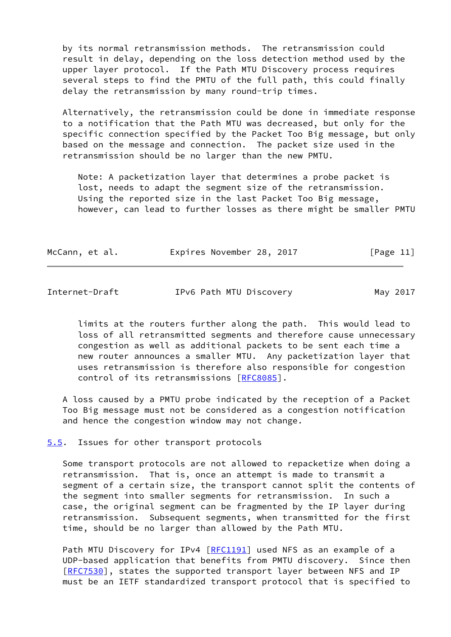by its normal retransmission methods. The retransmission could result in delay, depending on the loss detection method used by the upper layer protocol. If the Path MTU Discovery process requires several steps to find the PMTU of the full path, this could finally delay the retransmission by many round-trip times.

 Alternatively, the retransmission could be done in immediate response to a notification that the Path MTU was decreased, but only for the specific connection specified by the Packet Too Big message, but only based on the message and connection. The packet size used in the retransmission should be no larger than the new PMTU.

 Note: A packetization layer that determines a probe packet is lost, needs to adapt the segment size of the retransmission. Using the reported size in the last Packet Too Big message, however, can lead to further losses as there might be smaller PMTU

| McCann, et al. |  |  |  | Expires November 28, 2017 |  |  | [Page 11] |  |
|----------------|--|--|--|---------------------------|--|--|-----------|--|
|----------------|--|--|--|---------------------------|--|--|-----------|--|

<span id="page-12-1"></span>

| Internet-Draft | IPv6 Path MTU Discovery | May 2017 |
|----------------|-------------------------|----------|
|                |                         |          |

 limits at the routers further along the path. This would lead to loss of all retransmitted segments and therefore cause unnecessary congestion as well as additional packets to be sent each time a new router announces a smaller MTU. Any packetization layer that uses retransmission is therefore also responsible for congestion control of its retransmissions [[RFC8085](https://datatracker.ietf.org/doc/pdf/rfc8085)].

 A loss caused by a PMTU probe indicated by the reception of a Packet Too Big message must not be considered as a congestion notification and hence the congestion window may not change.

<span id="page-12-0"></span>[5.5](#page-12-0). Issues for other transport protocols

 Some transport protocols are not allowed to repacketize when doing a retransmission. That is, once an attempt is made to transmit a segment of a certain size, the transport cannot split the contents of the segment into smaller segments for retransmission. In such a case, the original segment can be fragmented by the IP layer during retransmission. Subsequent segments, when transmitted for the first time, should be no larger than allowed by the Path MTU.

Path MTU Discovery for IPv4 [\[RFC1191](https://datatracker.ietf.org/doc/pdf/rfc1191)] used NFS as an example of a UDP-based application that benefits from PMTU discovery. Since then [\[RFC7530](https://datatracker.ietf.org/doc/pdf/rfc7530)], states the supported transport layer between NFS and IP must be an IETF standardized transport protocol that is specified to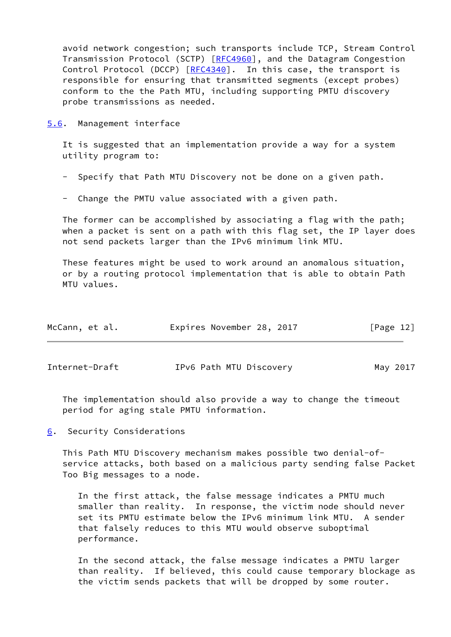avoid network congestion; such transports include TCP, Stream Control Transmission Protocol (SCTP) [\[RFC4960](https://datatracker.ietf.org/doc/pdf/rfc4960)], and the Datagram Congestion Control Protocol (DCCP) [\[RFC4340](https://datatracker.ietf.org/doc/pdf/rfc4340)]. In this case, the transport is responsible for ensuring that transmitted segments (except probes) conform to the the Path MTU, including supporting PMTU discovery probe transmissions as needed.

<span id="page-13-0"></span>[5.6](#page-13-0). Management interface

 It is suggested that an implementation provide a way for a system utility program to:

- Specify that Path MTU Discovery not be done on a given path.
- Change the PMTU value associated with a given path.

 The former can be accomplished by associating a flag with the path; when a packet is sent on a path with this flag set, the IP layer does not send packets larger than the IPv6 minimum link MTU.

 These features might be used to work around an anomalous situation, or by a routing protocol implementation that is able to obtain Path MTU values.

| McCann, et al. | Expires November 28, 2017 | [Page 12] |
|----------------|---------------------------|-----------|
|----------------|---------------------------|-----------|

<span id="page-13-2"></span>Internet-Draft TPv6 Path MTU Discovery May 2017

 The implementation should also provide a way to change the timeout period for aging stale PMTU information.

<span id="page-13-1"></span>[6](#page-13-1). Security Considerations

 This Path MTU Discovery mechanism makes possible two denial-of service attacks, both based on a malicious party sending false Packet Too Big messages to a node.

 In the first attack, the false message indicates a PMTU much smaller than reality. In response, the victim node should never set its PMTU estimate below the IPv6 minimum link MTU. A sender that falsely reduces to this MTU would observe suboptimal performance.

 In the second attack, the false message indicates a PMTU larger than reality. If believed, this could cause temporary blockage as the victim sends packets that will be dropped by some router.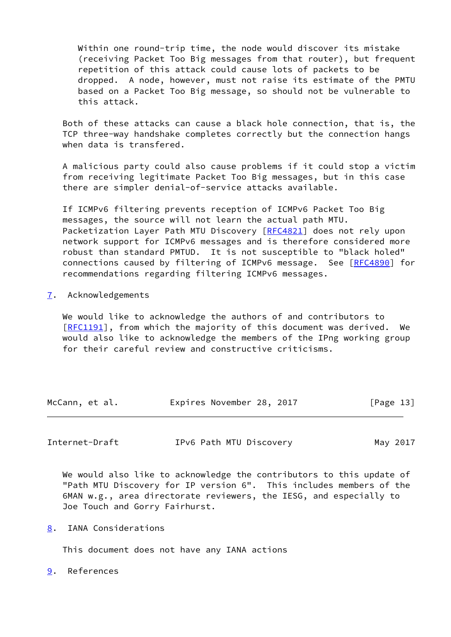Within one round-trip time, the node would discover its mistake (receiving Packet Too Big messages from that router), but frequent repetition of this attack could cause lots of packets to be dropped. A node, however, must not raise its estimate of the PMTU based on a Packet Too Big message, so should not be vulnerable to this attack.

 Both of these attacks can cause a black hole connection, that is, the TCP three-way handshake completes correctly but the connection hangs when data is transfered.

 A malicious party could also cause problems if it could stop a victim from receiving legitimate Packet Too Big messages, but in this case there are simpler denial-of-service attacks available.

 If ICMPv6 filtering prevents reception of ICMPv6 Packet Too Big messages, the source will not learn the actual path MTU. Packetization Layer Path MTU Discovery [\[RFC4821](https://datatracker.ietf.org/doc/pdf/rfc4821)] does not rely upon network support for ICMPv6 messages and is therefore considered more robust than standard PMTUD. It is not susceptible to "black holed" connections caused by filtering of ICMPv6 message. See [\[RFC4890](https://datatracker.ietf.org/doc/pdf/rfc4890)] for recommendations regarding filtering ICMPv6 messages.

#### <span id="page-14-0"></span>[7](#page-14-0). Acknowledgements

 We would like to acknowledge the authors of and contributors to [\[RFC1191](https://datatracker.ietf.org/doc/pdf/rfc1191)], from which the majority of this document was derived. We would also like to acknowledge the members of the IPng working group for their careful review and constructive criticisms.

| McCann, et al. | Expires November 28, 2017 |  | [Page 13] |
|----------------|---------------------------|--|-----------|
|----------------|---------------------------|--|-----------|

<span id="page-14-2"></span>

| Internet-Draft | IPv6 Path MTU Discovery | May 2017 |
|----------------|-------------------------|----------|
|----------------|-------------------------|----------|

 We would also like to acknowledge the contributors to this update of "Path MTU Discovery for IP version 6". This includes members of the 6MAN w.g., area directorate reviewers, the IESG, and especially to Joe Touch and Gorry Fairhurst.

<span id="page-14-1"></span>[8](#page-14-1). IANA Considerations

This document does not have any IANA actions

<span id="page-14-3"></span>[9](#page-14-3). References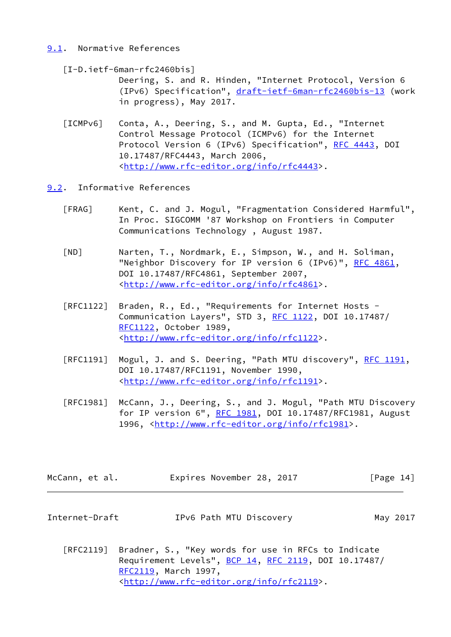# <span id="page-15-0"></span>[9.1](#page-15-0). Normative References

<span id="page-15-3"></span> [I-D.ietf-6man-rfc2460bis] Deering, S. and R. Hinden, "Internet Protocol, Version 6 (IPv6) Specification", [draft-ietf-6man-rfc2460bis-13](https://datatracker.ietf.org/doc/pdf/draft-ietf-6man-rfc2460bis-13) (work in progress), May 2017.

- <span id="page-15-4"></span> [ICMPv6] Conta, A., Deering, S., and M. Gupta, Ed., "Internet Control Message Protocol (ICMPv6) for the Internet Protocol Version 6 (IPv6) Specification", [RFC 4443](https://datatracker.ietf.org/doc/pdf/rfc4443), DOI 10.17487/RFC4443, March 2006, <<http://www.rfc-editor.org/info/rfc4443>>.
- <span id="page-15-6"></span><span id="page-15-5"></span><span id="page-15-1"></span>[9.2](#page-15-1). Informative References
	- [FRAG] Kent, C. and J. Mogul, "Fragmentation Considered Harmful", In Proc. SIGCOMM '87 Workshop on Frontiers in Computer Communications Technology , August 1987.
	- [ND] Narten, T., Nordmark, E., Simpson, W., and H. Soliman, "Neighbor Discovery for IP version 6 (IPv6)", [RFC 4861](https://datatracker.ietf.org/doc/pdf/rfc4861), DOI 10.17487/RFC4861, September 2007, <<http://www.rfc-editor.org/info/rfc4861>>.
	- [RFC1122] Braden, R., Ed., "Requirements for Internet Hosts Communication Layers", STD 3, [RFC 1122](https://datatracker.ietf.org/doc/pdf/rfc1122), DOI 10.17487/ [RFC1122](https://datatracker.ietf.org/doc/pdf/rfc1122), October 1989, <<http://www.rfc-editor.org/info/rfc1122>>.
	- [RFC1191] Mogul, J. and S. Deering, "Path MTU discovery", [RFC 1191,](https://datatracker.ietf.org/doc/pdf/rfc1191) DOI 10.17487/RFC1191, November 1990, <<http://www.rfc-editor.org/info/rfc1191>>.
	- [RFC1981] McCann, J., Deering, S., and J. Mogul, "Path MTU Discovery for IP version 6", [RFC 1981](https://datatracker.ietf.org/doc/pdf/rfc1981), DOI 10.17487/RFC1981, August 1996, [<http://www.rfc-editor.org/info/rfc1981](http://www.rfc-editor.org/info/rfc1981)>.

| McCann, et al. |  | Expires November 28, 2017 |  | [Page 14] |  |
|----------------|--|---------------------------|--|-----------|--|
|----------------|--|---------------------------|--|-----------|--|

<span id="page-15-2"></span>

| Internet-Draft | IPv6 Path MTU Discovery | May 2017 |
|----------------|-------------------------|----------|
|----------------|-------------------------|----------|

 [RFC2119] Bradner, S., "Key words for use in RFCs to Indicate Requirement Levels", [BCP 14](https://datatracker.ietf.org/doc/pdf/bcp14), [RFC 2119](https://datatracker.ietf.org/doc/pdf/rfc2119), DOI 10.17487/ [RFC2119](https://datatracker.ietf.org/doc/pdf/rfc2119), March 1997, <<http://www.rfc-editor.org/info/rfc2119>>.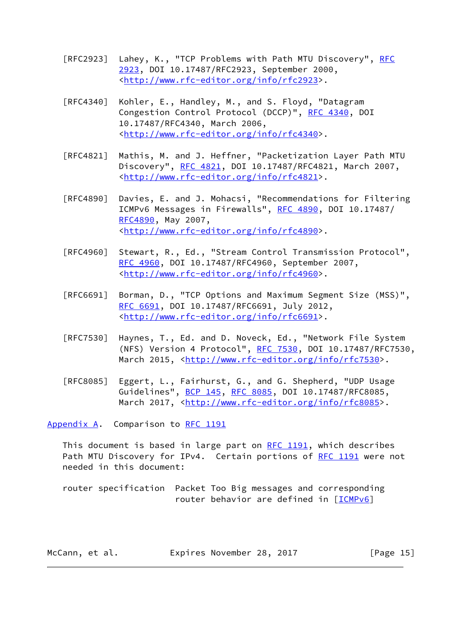- [RFC2923] Lahey, K., "TCP Problems with Path MTU Discovery", [RFC](https://datatracker.ietf.org/doc/pdf/rfc2923) [2923,](https://datatracker.ietf.org/doc/pdf/rfc2923) DOI 10.17487/RFC2923, September 2000, <<http://www.rfc-editor.org/info/rfc2923>>.
- [RFC4340] Kohler, E., Handley, M., and S. Floyd, "Datagram Congestion Control Protocol (DCCP)", [RFC 4340](https://datatracker.ietf.org/doc/pdf/rfc4340), DOI 10.17487/RFC4340, March 2006, <<http://www.rfc-editor.org/info/rfc4340>>.
- [RFC4821] Mathis, M. and J. Heffner, "Packetization Layer Path MTU Discovery", [RFC 4821,](https://datatracker.ietf.org/doc/pdf/rfc4821) DOI 10.17487/RFC4821, March 2007, <<http://www.rfc-editor.org/info/rfc4821>>.
- [RFC4890] Davies, E. and J. Mohacsi, "Recommendations for Filtering ICMPv6 Messages in Firewalls", [RFC 4890](https://datatracker.ietf.org/doc/pdf/rfc4890), DOI 10.17487/ [RFC4890](https://datatracker.ietf.org/doc/pdf/rfc4890), May 2007, <<http://www.rfc-editor.org/info/rfc4890>>.
- [RFC4960] Stewart, R., Ed., "Stream Control Transmission Protocol", [RFC 4960,](https://datatracker.ietf.org/doc/pdf/rfc4960) DOI 10.17487/RFC4960, September 2007, <<http://www.rfc-editor.org/info/rfc4960>>.
- [RFC6691] Borman, D., "TCP Options and Maximum Segment Size (MSS)", [RFC 6691,](https://datatracker.ietf.org/doc/pdf/rfc6691) DOI 10.17487/RFC6691, July 2012, <<http://www.rfc-editor.org/info/rfc6691>>.
- [RFC7530] Haynes, T., Ed. and D. Noveck, Ed., "Network File System (NFS) Version 4 Protocol", [RFC 7530](https://datatracker.ietf.org/doc/pdf/rfc7530), DOI 10.17487/RFC7530, March 2015, [<http://www.rfc-editor.org/info/rfc7530](http://www.rfc-editor.org/info/rfc7530)>.
- [RFC8085] Eggert, L., Fairhurst, G., and G. Shepherd, "UDP Usage Guidelines", [BCP 145](https://datatracker.ietf.org/doc/pdf/bcp145), [RFC 8085](https://datatracker.ietf.org/doc/pdf/rfc8085), DOI 10.17487/RFC8085, March 2017, [<http://www.rfc-editor.org/info/rfc8085](http://www.rfc-editor.org/info/rfc8085)>.

<span id="page-16-0"></span>[Appendix A.](#page-16-0) Comparison to [RFC 1191](https://datatracker.ietf.org/doc/pdf/rfc1191)

This document is based in large part on  $RFC$  1191, which describes Path MTU Discovery for IPv4. Certain portions of [RFC 1191](https://datatracker.ietf.org/doc/pdf/rfc1191) were not needed in this document:

 router specification Packet Too Big messages and corresponding router behavior are defined in [\[ICMPv6](#page-15-4)]

| McCann, et al. | Expires November 28, 2017 |  |  |  | [Page 15] |
|----------------|---------------------------|--|--|--|-----------|
|----------------|---------------------------|--|--|--|-----------|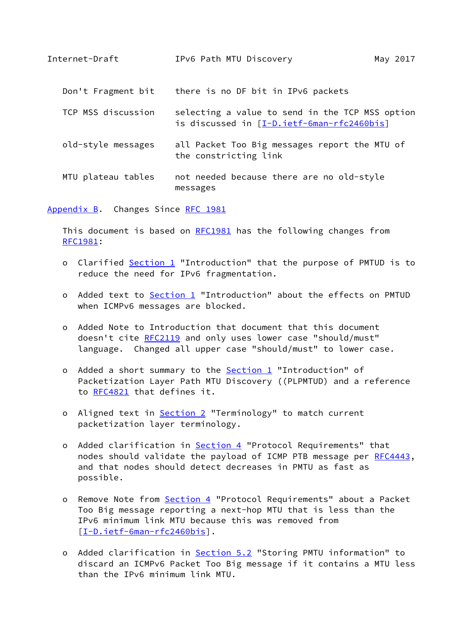<span id="page-17-1"></span>

| Internet-Draft     | IPv6 Path MTU Discovery                                                                       | May 2017 |
|--------------------|-----------------------------------------------------------------------------------------------|----------|
| Don't Fragment bit | there is no DF bit in IPv6 packets                                                            |          |
| TCP MSS discussion | selecting a value to send in the TCP MSS option<br>is discussed in [I-D.ietf-6man-rfc2460bis] |          |
| old-style messages | all Packet Too Big messages report the MTU of<br>the constricting link                        |          |
| MTU plateau tables | not needed because there are no old-style<br>messages                                         |          |

<span id="page-17-0"></span>[Appendix B.](#page-17-0) Changes Since [RFC 1981](https://datatracker.ietf.org/doc/pdf/rfc1981)

 This document is based on [RFC1981](https://datatracker.ietf.org/doc/pdf/rfc1981) has the following changes from [RFC1981](https://datatracker.ietf.org/doc/pdf/rfc1981):

- o Clarified [Section 1](#page-1-0) "Introduction" that the purpose of PMTUD is to reduce the need for IPv6 fragmentation.
- o Added text to **Section 1** "Introduction" about the effects on PMTUD when ICMPv6 messages are blocked.
- o Added Note to Introduction that document that this document doesn't cite [RFC2119](https://datatracker.ietf.org/doc/pdf/rfc2119) and only uses lower case "should/must" language. Changed all upper case "should/must" to lower case.
- o Added a short summary to the **Section 1** "Introduction" of Packetization Layer Path MTU Discovery ((PLPMTUD) and a reference to [RFC4821](https://datatracker.ietf.org/doc/pdf/rfc4821) that defines it.
- o Aligned text in **Section 2** "Terminology" to match current packetization layer terminology.
- o Added clarification in **Section 4** "Protocol Requirements" that nodes should validate the payload of ICMP PTB message per [RFC4443](https://datatracker.ietf.org/doc/pdf/rfc4443), and that nodes should detect decreases in PMTU as fast as possible.
- o Remove Note from [Section 4](#page-5-0) "Protocol Requirements" about a Packet Too Big message reporting a next-hop MTU that is less than the IPv6 minimum link MTU because this was removed from [[I-D.ietf-6man-rfc2460bis\]](#page-15-3).
- o Added clarification in [Section 5.2](#page-8-0) "Storing PMTU information" to discard an ICMPv6 Packet Too Big message if it contains a MTU less than the IPv6 minimum link MTU.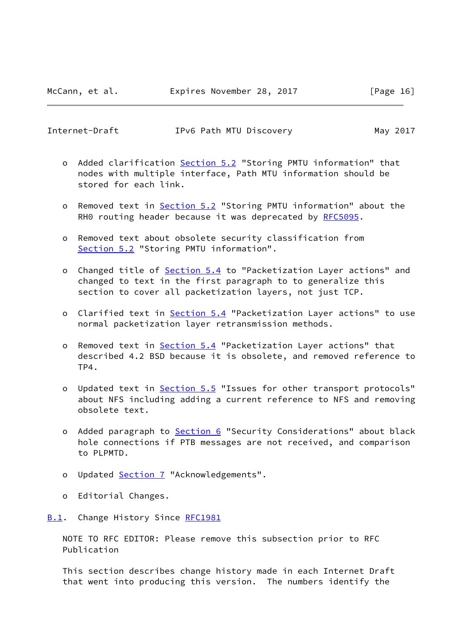<span id="page-18-1"></span>Internet-Draft IPv6 Path MTU Discovery May 2017

- o Added clarification [Section 5.2](#page-8-0) "Storing PMTU information" that nodes with multiple interface, Path MTU information should be stored for each link.
- o Removed text in [Section 5.2](#page-8-0) "Storing PMTU information" about the RH0 routing header because it was deprecated by [RFC5095](https://datatracker.ietf.org/doc/pdf/rfc5095).
- o Removed text about obsolete security classification from [Section 5.2](#page-8-0) "Storing PMTU information".
- o Changed title of **Section 5.4** to "Packetization Layer actions" and changed to text in the first paragraph to to generalize this section to cover all packetization layers, not just TCP.
- o Clarified text in **Section 5.4** "Packetization Layer actions" to use normal packetization layer retransmission methods.
- o Removed text in [Section 5.4](#page-11-0) "Packetization Layer actions" that described 4.2 BSD because it is obsolete, and removed reference to TP4.
- o Updated text in [Section 5.5](#page-12-0) "Issues for other transport protocols" about NFS including adding a current reference to NFS and removing obsolete text.
- o Added paragraph to **Section 6** "Security Considerations" about black hole connections if PTB messages are not received, and comparison to PLPMTD.
- o Updated [Section 7](#page-14-0) "Acknowledgements".
- o Editorial Changes.
- <span id="page-18-0"></span>[B.1](#page-18-0). Change History Since [RFC1981](https://datatracker.ietf.org/doc/pdf/rfc1981)

 NOTE TO RFC EDITOR: Please remove this subsection prior to RFC Publication

 This section describes change history made in each Internet Draft that went into producing this version. The numbers identify the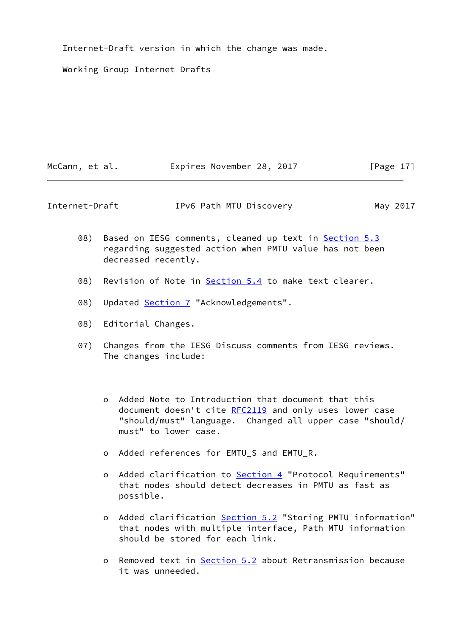Internet-Draft version in which the change was made.

Working Group Internet Drafts

| McCann, et al. | Expires November 28, 2017 | [Page 17] |
|----------------|---------------------------|-----------|
|                |                           |           |

Internet-Draft IPv6 Path MTU Discovery May 2017

- 08) Based on IESG comments, cleaned up text in **[Section 5.3](#page-10-0)**  regarding suggested action when PMTU value has not been decreased recently.
- 08) Revision of Note in [Section 5.4](#page-11-0) to make text clearer.
- 08) Updated [Section 7](#page-14-0) "Acknowledgements".
- 08) Editorial Changes.
- 07) Changes from the IESG Discuss comments from IESG reviews. The changes include:
	- o Added Note to Introduction that document that this document doesn't cite [RFC2119](https://datatracker.ietf.org/doc/pdf/rfc2119) and only uses lower case "should/must" language. Changed all upper case "should/ must" to lower case.
	- o Added references for EMTU\_S and EMTU\_R.
	- o Added clarification to **Section 4** "Protocol Requirements" that nodes should detect decreases in PMTU as fast as possible.
	- o Added clarification [Section 5.2](#page-8-0) "Storing PMTU information" that nodes with multiple interface, Path MTU information should be stored for each link.
	- o Removed text in [Section 5.2](#page-8-0) about Retransmission because it was unneeded.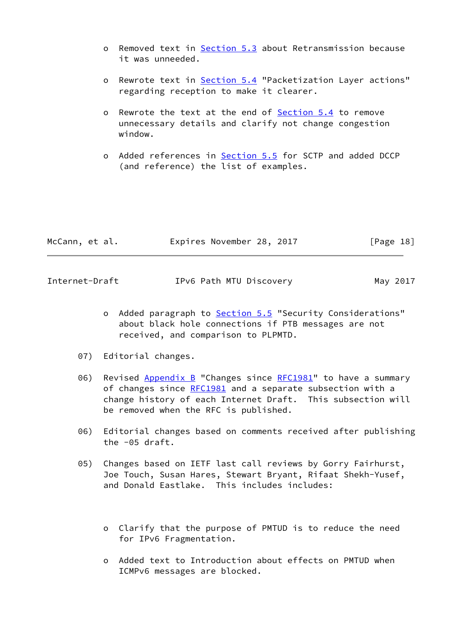- o Removed text in [Section 5.3](#page-10-0) about Retransmission because it was unneeded.
- o Rewrote text in **[Section 5.4](#page-11-0)** "Packetization Layer actions" regarding reception to make it clearer.
- o Rewrote the text at the end of [Section 5.4](#page-11-0) to remove unnecessary details and clarify not change congestion window.
- o Added references in [Section 5.5](#page-12-0) for SCTP and added DCCP (and reference) the list of examples.

| McCann, et al. | Expires November 28, 2017 | [Page 18] |
|----------------|---------------------------|-----------|
|                |                           |           |

Internet-Draft IPv6 Path MTU Discovery May 2017

- o Added paragraph to **Section 5.5** "Security Considerations" about black hole connections if PTB messages are not received, and comparison to PLPMTD.
- 07) Editorial changes.
- 06) Revised [Appendix B](#page-17-0) "Changes since [RFC1981](https://datatracker.ietf.org/doc/pdf/rfc1981)" to have a summary of changes since [RFC1981](https://datatracker.ietf.org/doc/pdf/rfc1981) and a separate subsection with a change history of each Internet Draft. This subsection will be removed when the RFC is published.
- 06) Editorial changes based on comments received after publishing the -05 draft.
- 05) Changes based on IETF last call reviews by Gorry Fairhurst, Joe Touch, Susan Hares, Stewart Bryant, Rifaat Shekh-Yusef, and Donald Eastlake. This includes includes:
	- o Clarify that the purpose of PMTUD is to reduce the need for IPv6 Fragmentation.
	- o Added text to Introduction about effects on PMTUD when ICMPv6 messages are blocked.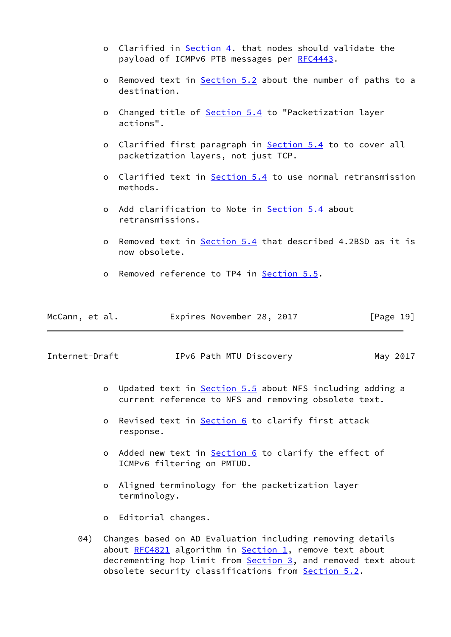- o Clarified in [Section 4](#page-5-0). that nodes should validate the payload of ICMPv6 PTB messages per [RFC4443](https://datatracker.ietf.org/doc/pdf/rfc4443).
- o Removed text in [Section 5.2](#page-8-0) about the number of paths to a destination.
- o Changed title of [Section 5.4](#page-11-0) to "Packetization layer actions".
- o Clarified first paragraph in **Section 5.4** to to cover all packetization layers, not just TCP.
- o Clarified text in **Section 5.4** to use normal retransmission methods.
- o Add clarification to Note in [Section 5.4](#page-11-0) about retransmissions.
- o Removed text in [Section 5.4](#page-11-0) that described 4.2BSD as it is now obsolete.
- o Removed reference to TP4 in [Section 5.5](#page-12-0).

| McCann, et al. | Expires November 28, 2017 |  | [Page 19] |
|----------------|---------------------------|--|-----------|
|----------------|---------------------------|--|-----------|

Internet-Draft IPv6 Path MTU Discovery May 2017

- o Updated text in [Section 5.5](#page-12-0) about NFS including adding a current reference to NFS and removing obsolete text.
- o Revised text in [Section 6](#page-13-1) to clarify first attack response.
- o Added new text in [Section 6](#page-13-1) to clarify the effect of ICMPv6 filtering on PMTUD.
- o Aligned terminology for the packetization layer terminology.
- o Editorial changes.
- 04) Changes based on AD Evaluation including removing details about  $RFC4821$  algorithm in [Section 1,](#page-1-0) remove text about decrementing hop limit from **Section 3**, and removed text about obsolete security classifications from **[Section 5.2](#page-8-0).**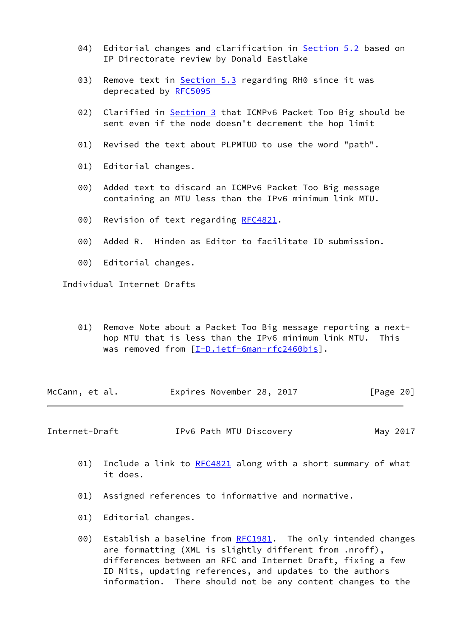- 04) Editorial changes and clarification in [Section 5.2](#page-8-0) based on IP Directorate review by Donald Eastlake
- 03) Remove text in **[Section 5.3](#page-10-0)** regarding RH0 since it was deprecated by [RFC5095](https://datatracker.ietf.org/doc/pdf/rfc5095)
- 02) Clarified in [Section 3](#page-4-0) that ICMPv6 Packet Too Big should be sent even if the node doesn't decrement the hop limit
- 01) Revised the text about PLPMTUD to use the word "path".
- 01) Editorial changes.
- 00) Added text to discard an ICMPv6 Packet Too Big message containing an MTU less than the IPv6 minimum link MTU.
- 00) Revision of text regarding [RFC4821](https://datatracker.ietf.org/doc/pdf/rfc4821).
- 00) Added R. Hinden as Editor to facilitate ID submission.
- 00) Editorial changes.

Individual Internet Drafts

 01) Remove Note about a Packet Too Big message reporting a next hop MTU that is less than the IPv6 minimum link MTU. This was removed from [\[I-D.ietf-6man-rfc2460bis](#page-15-3)].

McCann, et al. **Expires November 28, 2017** [Page 20]

<span id="page-22-0"></span>Internet-Draft TPv6 Path MTU Discovery May 2017

- 01) Include a link to [RFC4821](https://datatracker.ietf.org/doc/pdf/rfc4821) along with a short summary of what it does.
- 01) Assigned references to informative and normative.
- 01) Editorial changes.
- 00) Establish a baseline from [RFC1981](https://datatracker.ietf.org/doc/pdf/rfc1981). The only intended changes are formatting (XML is slightly different from .nroff), differences between an RFC and Internet Draft, fixing a few ID Nits, updating references, and updates to the authors information. There should not be any content changes to the